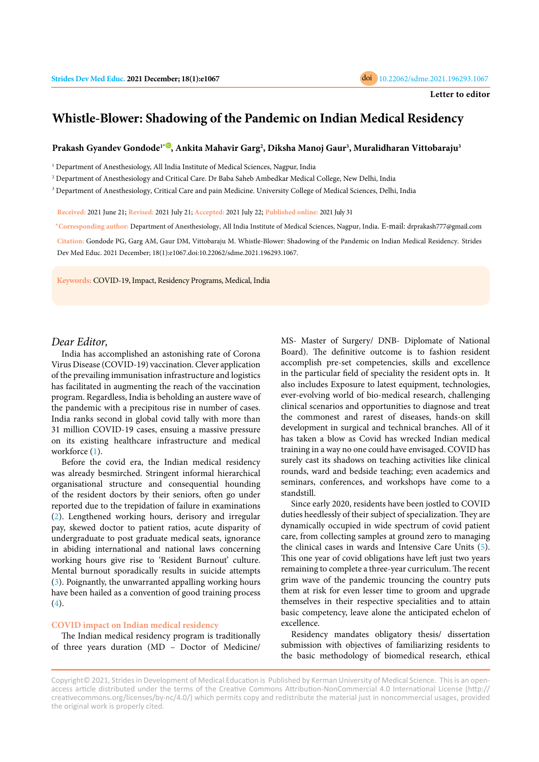

# **Whistle-Blower: Shadowing of the Pandemic on Indian Medical Residency**

## **Prakash Gyandev Gondode1\* [,](https://orcid.org/0000-0003-1014-8407) Ankita Mahavir Garg<sup>2</sup> , Diksha Manoj Gaur<sup>3</sup> , Muralidharan Vittobaraju<sup>3</sup>**

<sup>1</sup> Department of Anesthesiology, All India Institute of Medical Sciences, Nagpur, India

2 Department of Anesthesiology and Critical Care. Dr Baba Saheb Ambedkar Medical College, New Delhi, India

 $^3$  Department of Anesthesiology, Critical Care and pain Medicine. University College of Medical Sciences, Delhi, India

**Received:** 2021 June 21; **Revised:** 2021 July 21; **Accepted:** 2021 July 22; **Published online:** 2021 July 31

**\* Corresponding author:** Department of Anesthesiology, All India Institute of Medical Sciences, Nagpur, India. E-mail: drprakash777@gmail.com

**Citation:** Gondode PG, Garg AM, Gaur DM, Vittobaraju M. Whistle-Blower: Shadowing of the Pandemic on Indian Medical Residency. Strides Dev Med Educ. 2021 December; 18(1):e1067.doi:10.22062/sdme.2021.196293.1067.

**Keywords:** COVID-19, Impact, Residency Programs, Medical, India

## *Dear Editor,*

India has accomplished an astonishing rate of Corona Virus Disease (COVID-19) vaccination. Clever application of the prevailing immunisation infrastructure and logistics has facilitated in augmenting the reach of the vaccination program. Regardless, India is beholding an austere wave of the pandemic with a precipitous rise in number of cases. India ranks second in global covid tally with more than 31 million COVID-19 cases, ensuing a massive pressure on its existing healthcare infrastructure and medical workforce ([1\)](#page-1-0).

Before the covid era, the Indian medical residency was already besmirched. Stringent informal hierarchical organisational structure and consequential hounding of the resident doctors by their seniors, often go under reported due to the trepidation of failure in examinations [\(2\)](#page-1-0). Lengthened working hours, derisory and irregular pay, skewed doctor to patient ratios, acute disparity of undergraduate to post graduate medical seats, ignorance in abiding international and national laws concerning working hours give rise to 'Resident Burnout' culture. Mental burnout sporadically results in suicide attempts [\(3\)](#page-1-0). Poignantly, the unwarranted appalling working hours have been hailed as a convention of good training process  $(4).$  $(4).$ 

### **COVID impact on Indian medical residency**

The Indian medical residency program is traditionally of three years duration (MD – Doctor of Medicine/ MS- Master of Surgery/ DNB- Diplomate of National Board). The definitive outcome is to fashion resident accomplish pre-set competencies, skills and excellence in the particular field of speciality the resident opts in. It also includes Exposure to latest equipment, technologies, ever-evolving world of bio-medical research, challenging clinical scenarios and opportunities to diagnose and treat the commonest and rarest of diseases, hands-on skill development in surgical and technical branches. All of it has taken a blow as Covid has wrecked Indian medical training in a way no one could have envisaged. COVID has surely cast its shadows on teaching activities like clinical rounds, ward and bedside teaching; even academics and seminars, conferences, and workshops have come to a standstill.

Since early 2020, residents have been jostled to COVID duties heedlessly of their subject of specialization. They are dynamically occupied in wide spectrum of covid patient care, from collecting samples at ground zero to managing the clinical cases in wards and Intensive Care Units ([5\)](#page-1-0). This one year of covid obligations have left just two years remaining to complete a three-year curriculum. The recent grim wave of the pandemic trouncing the country puts them at risk for even lesser time to groom and upgrade themselves in their respective specialities and to attain basic competency, leave alone the anticipated echelon of excellence.

Residency mandates obligatory thesis/ dissertation submission with objectives of familiarizing residents to the basic methodology of biomedical research, ethical

Copyright© 2021, Strides in Development of Medical Education is Published by Kerman University of Medical Science. This is an openaccess article distributed under the terms of the Creative Commons Attribution-NonCommercial 4.0 International License (http:// creativecommons.org/licenses/by-nc/4.0/) which permits copy and redistribute the material just in noncommercial usages, provided the original work is properly cited.